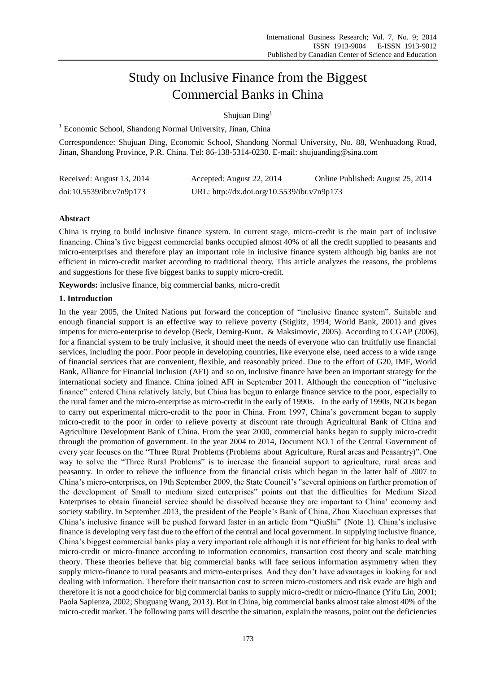# Study on Inclusive Finance from the Biggest Commercial Banks in China

Shujuan  $\text{Ding}^1$ 

<sup>1</sup> Economic School, Shandong Normal University, Jinan, China

Correspondence: Shujuan Ding, Economic School, Shandong Normal University, No. 88, Wenhuadong Road, Jinan, Shandong Province, P.R. China. Tel: 86-138-5314-0230. E-mail: shujuanding@sina.com

| Received: August 13, 2014 | Accepted: August 22, 2014                   | Online Published: August 25, 2014 |
|---------------------------|---------------------------------------------|-----------------------------------|
| doi:10.5539/ibr.v7n9p173  | URL: http://dx.doi.org/10.5539/ibr.v7n9p173 |                                   |

#### **Abstract**

China is trying to build inclusive finance system. In current stage, micro-credit is the main part of inclusive financing. China's five biggest commercial banks occupied almost 40% of all the credit supplied to peasants and micro-enterprises and therefore play an important role in inclusive finance system although big banks are not efficient in micro-credit market according to traditional theory. This article analyzes the reasons, the problems and suggestions for these five biggest banks to supply micro-credit.

**Keywords:** inclusive finance, big commercial banks, micro-credit

#### **1. Introduction**

In the year 2005, the United Nations put forward the conception of "inclusive finance system". Suitable and enough financial support is an effective way to relieve poverty (Stiglitz, 1994; World Bank, 2001) and gives impetus for micro-enterprise to develop (Beck, Demirg-Kunt, & Maksimovic, 2005). According to CGAP (2006), for a financial system to be truly inclusive, it should meet the needs of everyone who can fruitfully use financial services, including the poor. Poor people in developing countries, like everyone else, need access to a wide range of financial services that are convenient, flexible, and reasonably priced. Due to the effort of G20, IMF, World Bank, Alliance for Financial Inclusion (AFI) and so on, inclusive finance have been an important strategy for the international society and finance. China joined AFI in September 2011. Although the conception of "inclusive" finance" entered China relatively lately, but China has begun to enlarge finance service to the poor, especially to the rural famer and the micro-enterprise as micro-credit in the early of 1990s. In the early of 1990s, NGOs began to carry out experimental micro-credit to the poor in China. From 1997, China's government began to supply micro-credit to the poor in order to relieve poverty at discount rate through Agricultural Bank of China and Agriculture Development Bank of China. From the year 2000, commercial banks began to supply micro-credit through the promotion of government. In the year 2004 to 2014, Document NO.1 of the Central Government of every year focuses on the "Three Rural Problems (Problems about Agriculture, Rural areas and Peasantry)". One way to solve the "Three Rural Problems" is to increase the financial support to agriculture, rural areas and peasantry. In order to relieve the influence from the financial crisis which began in the latter half of 2007 to China's micro-enterprises, on 19th September 2009, the State Council's "several opinions on further promotion of the development of Small to medium sized enterprises" points out that the difficulties for Medium Sized Enterprises to obtain financial service should be dissolved because they are important to China' economy and society stability. In September 2013, the president of the People's Bank of China, Zhou Xiaochuan expresses that China's inclusive finance will be pushed forward faster in an article from "QiuShi" (Note 1). China's inclusive finance is developing very fast due to the effort of the central and local government. In supplying inclusive finance, China's biggest commercial banks play a very important role although it is not efficient for big banks to deal with micro-credit or micro-finance according to information economics, transaction cost theory and scale matching theory. These theories believe that big commercial banks will face serious information asymmetry when they supply micro-finance to rural peasants and micro-enterprises. And they don't have advantages in looking for and dealing with information. Therefore their transaction cost to screen micro-customers and risk evade are high and therefore it is not a good choice for big commercial banks to supply micro-credit or micro-finance (Yifu Lin, 2001; Paola Sapienza, 2002; Shuguang Wang, 2013). But in China, big commercial banks almost take almost 40% of the micro-credit market. The following parts will describe the situation, explain the reasons, point out the deficiencies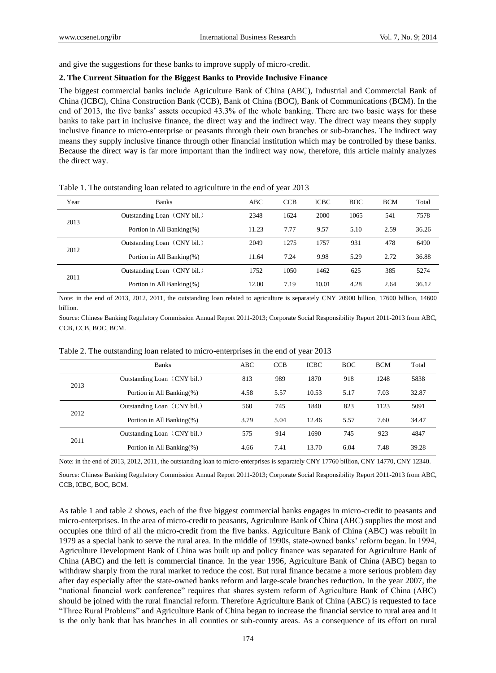and give the suggestions for these banks to improve supply of micro-credit.

#### **2. The Current Situation for the Biggest Banks to Provide Inclusive Finance**

The biggest commercial banks include Agriculture Bank of China (ABC), Industrial and Commercial Bank of China (ICBC), China Construction Bank (CCB), Bank of China (BOC), Bank of Communications (BCM). In the end of 2013, the five banks' assets occupied 43.3% of the whole banking. There are two basic ways for these banks to take part in inclusive finance, the direct way and the indirect way. The direct way means they supply inclusive finance to micro-enterprise or peasants through their own branches or sub-branches. The indirect way means they supply inclusive finance through other financial institution which may be controlled by these banks. Because the direct way is far more important than the indirect way now, therefore, this article mainly analyzes the direct way.

| Year | <b>Banks</b>                | ABC   | CCB  | <b>ICBC</b> | <b>BOC</b> | <b>BCM</b> | Total |
|------|-----------------------------|-------|------|-------------|------------|------------|-------|
| 2013 | Outstanding Loan (CNY bil.) | 2348  | 1624 | 2000        | 1065       | 541        | 7578  |
|      | Portion in All Banking(%)   | 11.23 | 7.77 | 9.57        | 5.10       | 2.59       | 36.26 |
| 2012 | Outstanding Loan (CNY bil.) | 2049  | 1275 | 1757        | 931        | 478        | 6490  |
|      | Portion in All Banking(%)   | 11.64 | 7.24 | 9.98        | 5.29       | 2.72       | 36.88 |
| 2011 | Outstanding Loan (CNY bil.) | 1752  | 1050 | 1462        | 625        | 385        | 5274  |
|      | Portion in All Banking(%)   | 12.00 | 7.19 | 10.01       | 4.28       | 2.64       | 36.12 |

Table 1. The outstanding loan related to agriculture in the end of year 2013

Note: in the end of 2013, 2012, 2011, the outstanding loan related to agriculture is separately CNY 20900 billion, 17600 billion, 14600 billion.

Source: Chinese Banking Regulatory Commission Annual Report 2011-2013; Corporate Social Responsibility Report 2011-2013 from ABC, CCB, CCB, BOC, BCM.

|      | <b>Banks</b>                | ABC  | CCB  | <b>ICBC</b> | <b>BOC</b> | <b>BCM</b> | Total |
|------|-----------------------------|------|------|-------------|------------|------------|-------|
| 2013 | Outstanding Loan (CNY bil.) | 813  | 989  | 1870        | 918        | 1248       | 5838  |
|      | Portion in All Banking(%)   | 4.58 | 5.57 | 10.53       | 5.17       | 7.03       | 32.87 |
| 2012 | Outstanding Loan (CNY bil.) | 560  | 745  | 1840        | 823        | 1123       | 5091  |
|      | Portion in All Banking(%)   | 3.79 | 5.04 | 12.46       | 5.57       | 7.60       | 34.47 |
| 2011 | Outstanding Loan (CNY bil.) | 575  | 914  | 1690        | 745        | 923        | 4847  |
|      | Portion in All Banking(%)   | 4.66 | 7.41 | 13.70       | 6.04       | 7.48       | 39.28 |

Table 2. The outstanding loan related to micro-enterprises in the end of year 2013

Note: in the end of 2013, 2012, 2011, the outstanding loan to micro-enterprises is separately CNY 17760 billion, CNY 14770, CNY 12340.

Source: Chinese Banking Regulatory Commission Annual Report 2011-2013; Corporate Social Responsibility Report 2011-2013 from ABC, CCB, ICBC, BOC, BCM.

As table 1 and table 2 shows, each of the five biggest commercial banks engages in micro-credit to peasants and micro-enterprises. In the area of micro-credit to peasants, Agriculture Bank of China (ABC) supplies the most and occupies one third of all the micro-credit from the five banks. Agriculture Bank of China (ABC) was rebuilt in 1979 as a special bank to serve the rural area. In the middle of 1990s, state-owned banks' reform began. In 1994, Agriculture Development Bank of China was built up and policy finance was separated for Agriculture Bank of China (ABC) and the left is commercial finance. In the year 1996, Agriculture Bank of China (ABC) began to withdraw sharply from the rural market to reduce the cost. But rural finance became a more serious problem day after day especially after the state-owned banks reform and large-scale branches reduction. In the year 2007, the ―national financial work conference‖ requires that shares system reform of Agriculture Bank of China (ABC) should be joined with the rural financial reform. Therefore Agriculture Bank of China (ABC) is requested to face ―Three Rural Problems‖ and Agriculture Bank of China began to increase the financial service to rural area and it is the only bank that has branches in all counties or sub-county areas. As a consequence of its effort on rural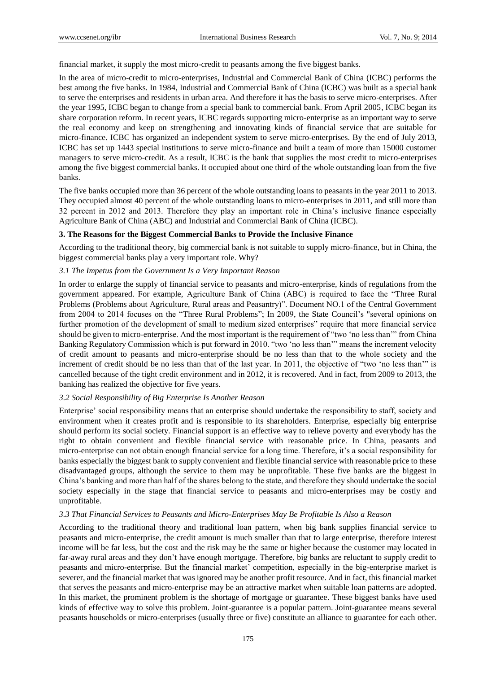financial market, it supply the most micro-credit to peasants among the five biggest banks.

In the area of micro-credit to micro-enterprises, Industrial and Commercial Bank of China (ICBC) performs the best among the five banks. In 1984, Industrial and Commercial Bank of China (ICBC) was built as a special bank to serve the enterprises and residents in urban area. And therefore it has the basis to serve micro-enterprises. After the year 1995, ICBC began to change from a special bank to commercial bank. From April 2005, ICBC began its share corporation reform. In recent years, ICBC regards supporting micro-enterprise as an important way to serve the real economy and keep on strengthening and innovating kinds of financial service that are suitable for micro-finance. ICBC has organized an independent system to serve micro-enterprises. By the end of July 2013, ICBC has set up 1443 special institutions to serve micro-finance and built a team of more than 15000 customer managers to serve micro-credit. As a result, ICBC is the bank that supplies the most credit to micro-enterprises among the five biggest commercial banks. It occupied about one third of the whole outstanding loan from the five banks.

The five banks occupied more than 36 percent of the whole outstanding loans to peasants in the year 2011 to 2013. They occupied almost 40 percent of the whole outstanding loans to micro-enterprises in 2011, and still more than 32 percent in 2012 and 2013. Therefore they play an important role in China's inclusive finance especially Agriculture Bank of China (ABC) and Industrial and Commercial Bank of China (ICBC).

#### **3. The Reasons for the Biggest Commercial Banks to Provide the Inclusive Finance**

According to the traditional theory, big commercial bank is not suitable to supply micro-finance, but in China, the biggest commercial banks play a very important role. Why?

#### *3.1 The Impetus from the Government Is a Very Important Reason*

In order to enlarge the supply of financial service to peasants and micro-enterprise, kinds of regulations from the government appeared. For example, Agriculture Bank of China (ABC) is required to face the "Three Rural" Problems (Problems about Agriculture, Rural areas and Peasantry)". Document NO.1 of the Central Government from 2004 to 2014 focuses on the "Three Rural Problems"; In 2009, the State Council's "several opinions on further promotion of the development of small to medium sized enterprises" require that more financial service should be given to micro-enterprise. And the most important is the requirement of "two 'no less than'" from China Banking Regulatory Commission which is put forward in 2010. "two 'no less than'" means the increment velocity of credit amount to peasants and micro-enterprise should be no less than that to the whole society and the increment of credit should be no less than that of the last year. In 2011, the objective of "two 'no less than'" is cancelled because of the tight credit environment and in 2012, it is recovered. And in fact, from 2009 to 2013, the banking has realized the objective for five years.

#### *3.2 Social Responsibility of Big Enterprise Is Another Reason*

Enterprise' social responsibility means that an enterprise should undertake the responsibility to staff, society and environment when it creates profit and is responsible to its shareholders. Enterprise, especially big enterprise should perform its social society. Financial support is an effective way to relieve poverty and everybody has the right to obtain convenient and flexible financial service with reasonable price. In China, peasants and micro-enterprise can not obtain enough financial service for a long time. Therefore, it's a social responsibility for banks especially the biggest bank to supply convenient and flexible financial service with reasonable price to these disadvantaged groups, although the service to them may be unprofitable. These five banks are the biggest in China's banking and more than half of the shares belong to the state, and therefore they should undertake the social society especially in the stage that financial service to peasants and micro-enterprises may be costly and unprofitable.

#### *3.3 That Financial Services to Peasants and Micro-Enterprises May Be Profitable Is Also a Reason*

According to the traditional theory and traditional loan pattern, when big bank supplies financial service to peasants and micro-enterprise, the credit amount is much smaller than that to large enterprise, therefore interest income will be far less, but the cost and the risk may be the same or higher because the customer may located in far-away rural areas and they don't have enough mortgage. Therefore, big banks are reluctant to supply credit to peasants and micro-enterprise. But the financial market' competition, especially in the big-enterprise market is severer, and the financial market that was ignored may be another profit resource. And in fact, this financial market that serves the peasants and micro-enterprise may be an attractive market when suitable loan patterns are adopted. In this market, the prominent problem is the shortage of mortgage or guarantee. These biggest banks have used kinds of effective way to solve this problem. Joint-guarantee is a popular pattern. Joint-guarantee means several peasants households or micro-enterprises (usually three or five) constitute an alliance to guarantee for each other.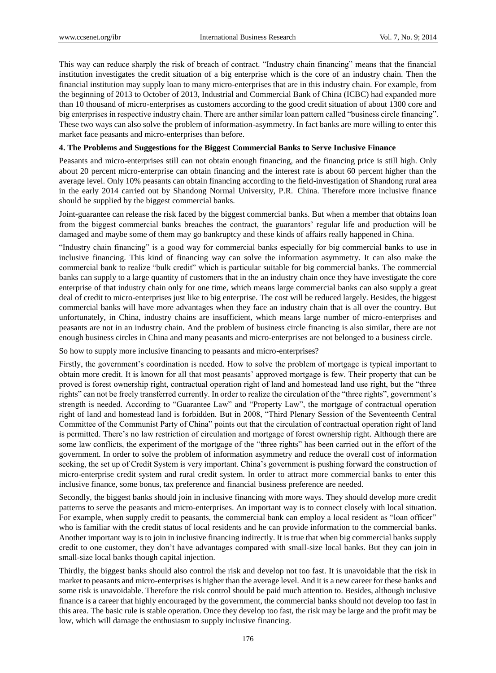This way can reduce sharply the risk of breach of contract. "Industry chain financing" means that the financial institution investigates the credit situation of a big enterprise which is the core of an industry chain. Then the financial institution may supply loan to many micro-enterprises that are in this industry chain. For example, from the beginning of 2013 to October of 2013, Industrial and Commercial Bank of China (ICBC) had expanded more than 10 thousand of micro-enterprises as customers according to the good credit situation of about 1300 core and big enterprises in respective industry chain. There are anther similar loan pattern called "business circle financing". These two ways can also solve the problem of information-asymmetry. In fact banks are more willing to enter this market face peasants and micro-enterprises than before.

## **4. The Problems and Suggestions for the Biggest Commercial Banks to Serve Inclusive Finance**

Peasants and micro-enterprises still can not obtain enough financing, and the financing price is still high. Only about 20 percent micro-enterprise can obtain financing and the interest rate is about 60 percent higher than the average level. Only 10% peasants can obtain financing according to the field-investigation of Shandong rural area in the early 2014 carried out by Shandong Normal University, P.R. China. Therefore more inclusive finance should be supplied by the biggest commercial banks.

Joint-guarantee can release the risk faced by the biggest commercial banks. But when a member that obtains loan from the biggest commercial banks breaches the contract, the guarantors' regular life and production will be damaged and maybe some of them may go bankruptcy and these kinds of affairs really happened in China.

―Industry chain financing‖ is a good way for commercial banks especially for big commercial banks to use in inclusive financing. This kind of financing way can solve the information asymmetry. It can also make the commercial bank to realize "bulk credit" which is particular suitable for big commercial banks. The commercial banks can supply to a large quantity of customers that in the an industry chain once they have investigate the core enterprise of that industry chain only for one time, which means large commercial banks can also supply a great deal of credit to micro-enterprises just like to big enterprise. The cost will be reduced largely. Besides, the biggest commercial banks will have more advantages when they face an industry chain that is all over the country. But unfortunately, in China, industry chains are insufficient, which means large number of micro-enterprises and peasants are not in an industry chain. And the problem of business circle financing is also similar, there are not enough business circles in China and many peasants and micro-enterprises are not belonged to a business circle.

So how to supply more inclusive financing to peasants and micro-enterprises?

Firstly, the government's coordination is needed. How to solve the problem of mortgage is typical important to obtain more credit. It is known for all that most peasants' approved mortgage is few. Their property that can be proved is forest ownership right, contractual operation right of land and homestead land use right, but the "three rights" can not be freely transferred currently. In order to realize the circulation of the "three rights", government's strength is needed. According to "Guarantee Law" and "Property Law", the mortgage of contractual operation right of land and homestead land is forbidden. But in 2008, "Third Plenary Session of the Seventeenth Central Committee of the Communist Party of China" points out that the circulation of contractual operation right of land is permitted. There's no law restriction of circulation and mortgage of forest ownership right. Although there are some law conflicts, the experiment of the mortgage of the "three rights" has been carried out in the effort of the government. In order to solve the problem of information asymmetry and reduce the overall cost of information seeking, the set up of Credit System is very important. China's government is pushing forward the construction of micro-enterprise credit system and rural credit system. In order to attract more commercial banks to enter this inclusive finance, some bonus, tax preference and financial business preference are needed.

Secondly, the biggest banks should join in inclusive financing with more ways. They should develop more credit patterns to serve the peasants and micro-enterprises. An important way is to connect closely with local situation. For example, when supply credit to peasants, the commercial bank can employ a local resident as "loan officer" who is familiar with the credit status of local residents and he can provide information to the commercial banks. Another important way is to join in inclusive financing indirectly. It is true that when big commercial banks supply credit to one customer, they don't have advantages compared with small-size local banks. But they can join in small-size local banks though capital injection.

Thirdly, the biggest banks should also control the risk and develop not too fast. It is unavoidable that the risk in market to peasants and micro-enterprises is higher than the average level. And it is a new career for these banks and some risk is unavoidable. Therefore the risk control should be paid much attention to. Besides, although inclusive finance is a career that highly encouraged by the government, the commercial banks should not develop too fast in this area. The basic rule is stable operation. Once they develop too fast, the risk may be large and the profit may be low, which will damage the enthusiasm to supply inclusive financing.